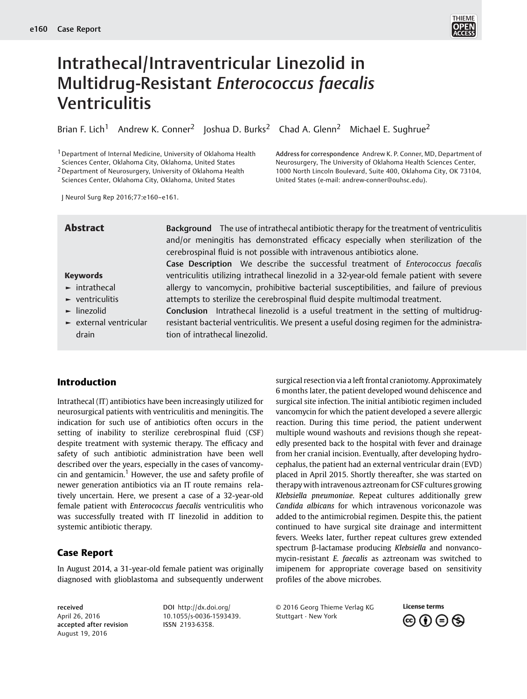

# Intrathecal/Intraventricular Linezolid in Multidrug-Resistant Enterococcus faecalis Ventriculitis

Brian F. Lich<sup>1</sup> Andrew K. Conner<sup>2</sup> Joshua D. Burks<sup>2</sup> Chad A. Glenn<sup>2</sup> Michael E. Sughrue<sup>2</sup>

1Department of Internal Medicine, University of Oklahoma Health Sciences Center, Oklahoma City, Oklahoma, United States 2Department of Neurosurgery, University of Oklahoma Health Sciences Center, Oklahoma City, Oklahoma, United States

Address for correspondence Andrew K. P. Conner, MD, Department of Neurosurgery, The University of Oklahoma Health Sciences Center, 1000 North Lincoln Boulevard, Suite 400, Oklahoma City, OK 73104, United States (e-mail: [andrew-conner@ouhsc.edu](mailto:andrew-conner@ouhsc.edu)).

J Neurol Surg Rep 2016;77:e160–e161.

Abstract Background The use of intrathecal antibiotic therapy for the treatment of ventriculitis and/or meningitis has demonstrated efficacy especially when sterilization of the cerebrospinal fluid is not possible with intravenous antibiotics alone. Case Description We describe the successful treatment of Enterococcus faecalis ventriculitis utilizing intrathecal linezolid in a 32-year-old female patient with severe allergy to vancomycin, prohibitive bacterial susceptibilities, and failure of previous attempts to sterilize the cerebrospinal fluid despite multimodal treatment.

 $\blacktriangleright$  ventriculitis ► linezolid

Keywords ► intrathecal

► external ventricular drain

Conclusion Intrathecal linezolid is a useful treatment in the setting of multidrugresistant bacterial ventriculitis. We present a useful dosing regimen for the administration of intrathecal linezolid.

# Introduction

Intrathecal (IT) antibiotics have been increasingly utilized for neurosurgical patients with ventriculitis and meningitis. The indication for such use of antibiotics often occurs in the setting of inability to sterilize cerebrospinal fluid (CSF) despite treatment with systemic therapy. The efficacy and safety of such antibiotic administration have been well described over the years, especially in the cases of vancomycin and gentamicin.<sup>1</sup> However, the use and safety profile of newer generation antibiotics via an IT route remains relatively uncertain. Here, we present a case of a 32-year-old female patient with Enterococcus faecalis ventriculitis who was successfully treated with IT linezolid in addition to systemic antibiotic therapy.

# Case Report

In August 2014, a 31-year-old female patient was originally diagnosed with glioblastoma and subsequently underwent

received April 26, 2016 accepted after revision August 19, 2016

DOI [http://dx.doi.org/](http://dx.doi.org/10.1055/s-0036-1593439) [10.1055/s-0036-1593439.](http://dx.doi.org/10.1055/s-0036-1593439) ISSN 2193-6358.

surgical resection via a left frontal craniotomy. Approximately 6 months later, the patient developed wound dehiscence and surgical site infection. The initial antibiotic regimen included vancomycin for which the patient developed a severe allergic reaction. During this time period, the patient underwent multiple wound washouts and revisions though she repeatedly presented back to the hospital with fever and drainage from her cranial incision. Eventually, after developing hydrocephalus, the patient had an external ventricular drain (EVD) placed in April 2015. Shortly thereafter, she was started on therapy with intravenous aztreonam for CSF cultures growing Klebsiella pneumoniae. Repeat cultures additionally grew Candida albicans for which intravenous voriconazole was added to the antimicrobial regimen. Despite this, the patient continued to have surgical site drainage and intermittent fevers. Weeks later, further repeat cultures grew extended spectrum β-lactamase producing Klebsiella and nonvancomycin-resistant E. faecalis as aztreonam was switched to imipenem for appropriate coverage based on sensitivity profiles of the above microbes.

© 2016 Georg Thieme Verlag KG Stuttgart · New York